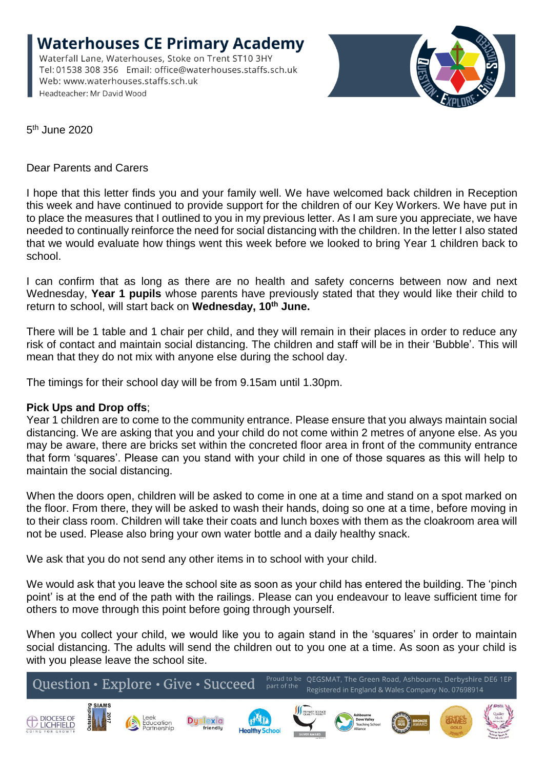**Waterhouses CE Primary Academy** Waterfall Lane, Waterhouses, Stoke on Trent ST10 3HY Tel: 01538 308 356 Email: office@waterhouses.staffs.sch.uk Web: www.waterhouses.staffs.sch.uk Headteacher: Mr David Wood



5<sup>th</sup> June 2020

Dear Parents and Carers

I hope that this letter finds you and your family well. We have welcomed back children in Reception this week and have continued to provide support for the children of our Key Workers. We have put in to place the measures that I outlined to you in my previous letter. As I am sure you appreciate, we have needed to continually reinforce the need for social distancing with the children. In the letter I also stated that we would evaluate how things went this week before we looked to bring Year 1 children back to school.

I can confirm that as long as there are no health and safety concerns between now and next Wednesday, **Year 1 pupils** whose parents have previously stated that they would like their child to return to school, will start back on **Wednesday, 10th June.**

There will be 1 table and 1 chair per child, and they will remain in their places in order to reduce any risk of contact and maintain social distancing. The children and staff will be in their 'Bubble'. This will mean that they do not mix with anyone else during the school day.

The timings for their school day will be from 9.15am until 1.30pm.

## **Pick Ups and Drop offs**;

Year 1 children are to come to the community entrance. Please ensure that you always maintain social distancing. We are asking that you and your child do not come within 2 metres of anyone else. As you may be aware, there are bricks set within the concreted floor area in front of the community entrance that form 'squares'. Please can you stand with your child in one of those squares as this will help to maintain the social distancing.

When the doors open, children will be asked to come in one at a time and stand on a spot marked on the floor. From there, they will be asked to wash their hands, doing so one at a time, before moving in to their class room. Children will take their coats and lunch boxes with them as the cloakroom area will not be used. Please also bring your own water bottle and a daily healthy snack.

We ask that you do not send any other items in to school with your child.

We would ask that you leave the school site as soon as your child has entered the building. The 'pinch point' is at the end of the path with the railings. Please can you endeavour to leave sufficient time for others to move through this point before going through yourself.

When you collect your child, we would like you to again stand in the 'squares' in order to maintain social distancing. The adults will send the children out to you one at a time. As soon as your child is with you please leave the school site.